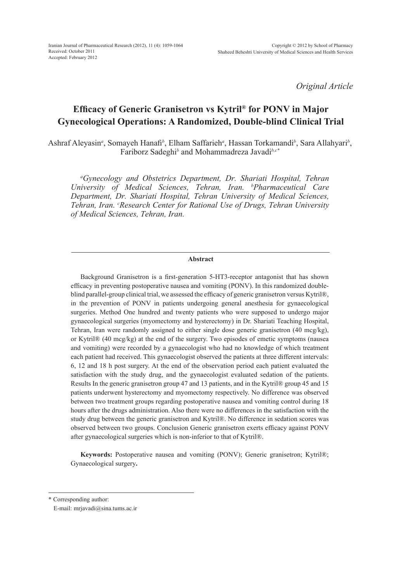*Original Article*

# **Efficacy of Generic Granisetron vs Kytril® for PONV in Major Gynecological Operations: A Randomized, Double-blind Clinical Trial**

Ashraf Aleyasin*<sup>a</sup>* , Somayeh Hanafi*<sup>b</sup>* , Elham Saffarieh*<sup>a</sup>* , Hassan Torkamandi*<sup>b</sup>* , Sara Allahyari*<sup>b</sup>* , Fariborz Sadeghi*<sup>b</sup>* and Mohammadreza Javadi*b,c\**

*a Gynecology and Obstetrics Department, Dr. Shariati Hospital, Tehran University of Medical Sciences, Tehran, Iran. b Pharmaceutical Care Department, Dr. Shariati Hospital, Tehran University of Medical Sciences, Tehran, Iran. c Research Center for Rational Use of Drugs, Tehran University of Medical Sciences, Tehran, Iran.*

#### **Abstract**

Background Granisetron is a first-generation 5-HT3-receptor antagonist that has shown efficacy in preventing postoperative nausea and vomiting (PONV). In this randomized doubleblind parallel-group clinical trial, we assessed the efficacy of generic granisetron versus Kytril®, in the prevention of PONV in patients undergoing general anesthesia for gynaecological surgeries. Method One hundred and twenty patients who were supposed to undergo major gynaecological surgeries (myomectomy and hysterectomy) in Dr. Shariati Teaching Hospital, Tehran, Iran were randomly assigned to either single dose generic granisetron (40 mcg/kg), or Kytril® (40 mcg/kg) at the end of the surgery. Two episodes of emetic symptoms (nausea and vomiting) were recorded by a gynaecologist who had no knowledge of which treatment each patient had received. This gynaecologist observed the patients at three different intervals: 6, 12 and 18 h post surgery. At the end of the observation period each patient evaluated the satisfaction with the study drug, and the gynaecologist evaluated sedation of the patients. Results In the generic granisetron group 47 and 13 patients, and in the Kytril® group 45 and 15 patients underwent hysterectomy and myomectomy respectively. No difference was observed between two treatment groups regarding postoperative nausea and vomiting control during 18 hours after the drugs administration. Also there were no differences in the satisfaction with the study drug between the generic granisetron and Kytril®. No difference in sedation scores was observed between two groups. Conclusion Generic granisetron exerts efficacy against PONV after gynaecological surgeries which is non-inferior to that of Kytril®.

**Keywords:** Postoperative nausea and vomiting (PONV); Generic granisetron; Kytril®; Gynaecological surgery**.**

<sup>\*</sup> Corresponding author:

E-mail: mrjavadi@sina.tums.ac.ir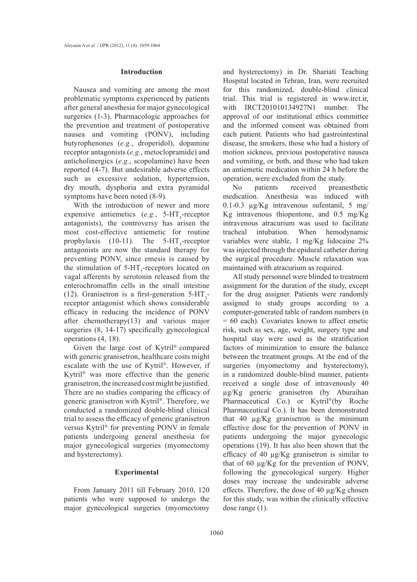## **Introduction**

Nausea and vomiting are among the most problematic symptoms experienced by patients after general anesthesia for major gynecological surgeries (1-3). Pharmacologic approaches for the prevention and treatment of postoperative nausea and vomiting (PONV), including butyrophenones (*e.g.*, droperidol), dopamine receptor antagonists (*e.g.*, metoclopramide) and anticholinergics (*e.g.*, scopolamine) have been reported (4-7). But undesirable adverse effects such as excessive sedation, hypertension, dry mouth, dysphoria and extra pyramidal symptoms have been noted (8-9).

With the introduction of newer and more expensive antiemetics  $(e.g., 5-HT<sub>3</sub>-receptor)$ antagonists), the controversy has arisen the most cost-effective antiemetic for routine prophylaxis (10-11). The  $5-HT_3$ -receptor antagonists are now the standard therapy for preventing PONV, since emesis is caused by the stimulation of  $5-HT_3$ -receptors located on vagal afferents by serotonin released from the enterochromaffin cells in the small intestine (12). Granisetron is a first-generation  $5-HT_3$ receptor antagonist which shows considerable efficacy in reducing the incidence of PONV after chemotherapy(13) and various major surgeries (8, 14-17) specifically gynecological operations (4, 18).

Given the large cost of Kytril® compared with generic granisetron, healthcare costs might escalate with the use of Kytril®. However, if Kytril® was more effective than the generic granisetron, the increased cost might be justified. There are no studies comparing the efficacy of generic granisetron with Kytril®. Therefore, we conducted a randomized double-blind clinical trial to assess the efficacy of generic granisetron versus Kytril® for preventing PONV in female patients undergoing general anesthesia for major gynecological surgeries (myomectomy and hysterectomy).

## **Experimental**

From January 2011 till February 2010, 120 patients who were supposed to undergo the major gynecological surgeries (myomectomy and hysterectomy) in Dr. Shariati Teaching Hospital located in Tehran, Iran, were recruited for this randomized, double-blind clinical trial. This trial is registered in www.irct.ir, with IRCT201010134927N1 number. The approval of our institutional ethics committee and the informed consent was obtained from each patient. Patients who had gastrointestinal disease, the smokers, those who had a history of motion sickness, previous postoperative nausea and vomiting, or both, and those who had taken an antiemetic medication within 24 h before the operation, were excluded from the study.

No patients received preanesthetic medication. Anesthesia was induced with 0.1-0.3 µg/Kg intravenous sufentanil, 5 mg/ Kg intravenous thiopentone, and 0.5 mg/Kg intravenous atracurium was used to facilitate tracheal intubation. When hemodynamic variables were stable, 1 mg/Kg lidocaine 2% was injected through the epidural catheter during the surgical procedure. Muscle relaxation was maintained with atracurium as required.

All study personnel were blinded to treatment assignment for the duration of the study, except for the drug assigner. Patients were randomly assigned to study groups according to a computer-generated table of random numbers (n = 60 each). Covariates known to affect emetic risk, such as sex, age, weight, surgery type and hospital stay were used as the stratification factors of minimization to ensure the balance between the treatment groups. At the end of the surgeries (myomectomy and hysterectomy), in a randomized double-blind manner, patients received a single dose of intravenously 40 µg/Kg generic granisetron (by Aburaihan Pharmaceutical Co.) or Kytril®(by Roche Pharmaceutical Co.). It has been demonstrated that 40 µg/Kg granisetron is the minimum effective dose for the prevention of PONV in patients undergoing the major gynecologic operations (19). It has also been shown that the efficacy of 40 µg/Kg granisetron is similar to that of 60 µg/Kg for the prevention of PONV, following the gynecological surgery. Higher doses may increase the undesirable adverse effects. Therefore, the dose of 40 µg/Kg chosen for this study, was within the clinically effective dose range (1).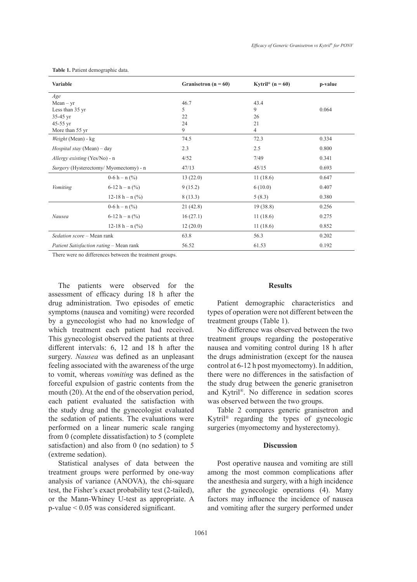| Variable                                |                             | Granisetron ( $n = 60$ ) | Kytril <sup>®</sup> (n = 60) | p-value |
|-----------------------------------------|-----------------------------|--------------------------|------------------------------|---------|
| Age                                     |                             |                          |                              |         |
| $Mean - yr$                             |                             | 46.7                     | 43.4                         |         |
| Less than 35 yr                         |                             | 5                        | 9                            | 0.064   |
| $35-45$ yr                              |                             | 22                       | 26                           |         |
| $45-55$ yr                              |                             | 24                       | 21                           |         |
| More than 55 yr                         |                             | 9                        | 4                            |         |
| Weight (Mean) - kg                      |                             | 74.5                     | 72.3                         | 0.334   |
| <i>Hospital stay</i> (Mean) – day       |                             | 2.3                      | 2.5                          | 0.800   |
| <i>Allergy existing</i> (Yes/No) - n    |                             | 4/52                     | 7/49                         | 0.341   |
| Surgery (Hysterectomy/ Myomectomy) - n  |                             | 47/13                    | 45/15                        | 0.693   |
| Vomiting                                | $0-6 h - n$ (%)             | 13(22.0)                 | 11(18.6)                     | 0.647   |
|                                         | $6-12 h - n$ (%)            | 9(15.2)                  | 6(10.0)                      | 0.407   |
|                                         | 12-18 h - n $(\frac{9}{6})$ | 8(13.3)                  | 5(8.3)                       | 0.380   |
| Nausea                                  | $0-6 h - n$ (%)             | 21(42.8)                 | 19(38.8)                     | 0.256   |
|                                         | $6-12 h - n$ (%)            | 16(27.1)                 | 11(18.6)                     | 0.275   |
|                                         | 12-18 h – n $(\% )$         | 12(20.0)                 | 11(18.6)                     | 0.852   |
| Sedation score - Mean rank              |                             | 63.8                     | 56.3                         | 0.202   |
| Patient Satisfaction rating - Mean rank |                             | 56.52                    | 61.53                        | 0.192   |

**Table 1.** Patient demographic data.

There were no differences between the treatment groups.

The patients were observed for the assessment of efficacy during 18 h after the drug administration. Two episodes of emetic symptoms (nausea and vomiting) were recorded by a gynecologist who had no knowledge of which treatment each patient had received. This gynecologist observed the patients at three different intervals: 6, 12 and 18 h after the surgery. *Nausea* was defined as an unpleasant feeling associated with the awareness of the urge to vomit, whereas *vomiting* was defined as the forceful expulsion of gastric contents from the mouth (20). At the end of the observation period, each patient evaluated the satisfaction with the study drug and the gynecologist evaluated the sedation of patients. The evaluations were performed on a linear numeric scale ranging from 0 (complete dissatisfaction) to 5 (complete satisfaction) and also from 0 (no sedation) to 5 (extreme sedation).

Statistical analyses of data between the treatment groups were performed by one-way analysis of variance (ANOVA), the chi-square test, the Fisher's exact probability test (2-tailed), or the Mann-Whiney U-test as appropriate. A p-value < 0.05 was considered significant.

# **Results**

Patient demographic characteristics and types of operation were not different between the treatment groups (Table 1).

No difference was observed between the two treatment groups regarding the postoperative nausea and vomiting control during 18 h after the drugs administration (except for the nausea control at 6-12 h post myomectomy). In addition, there were no differences in the satisfaction of the study drug between the generic granisetron and Kytril®. No difference in sedation scores was observed between the two groups.

Table 2 compares generic granisetron and Kytril® regarding the types of gynecologic surgeries (myomectomy and hysterectomy).

## **Discussion**

Post operative nausea and vomiting are still among the most common complications after the anesthesia and surgery, with a high incidence after the gynecologic operations (4). Many factors may influence the incidence of nausea and vomiting after the surgery performed under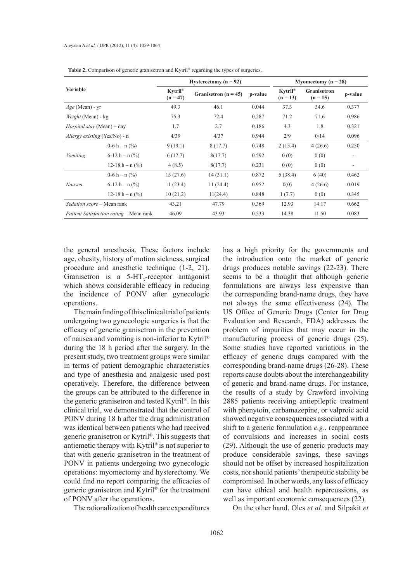| <b>Variable</b>                         |                             | Hysterectomy ( $n = 92$ )           |                          |         | Myomectomy ( $n = 28$ )           |                           |         |
|-----------------------------------------|-----------------------------|-------------------------------------|--------------------------|---------|-----------------------------------|---------------------------|---------|
|                                         |                             | $Kyril^{\circledast}$<br>$(n = 47)$ | Granisetron ( $n = 45$ ) | p-value | Kytril <sup>®</sup><br>$(n = 13)$ | Granisetron<br>$(n = 15)$ | p-value |
| $Age$ (Mean) - yr                       |                             | 49.3                                | 46.1                     | 0.044   | 37.3                              | 34.6                      | 0.377   |
| <i>Weight</i> (Mean) - kg               |                             | 75.3                                | 72.4                     | 0.287   | 71.2                              | 71.6                      | 0.986   |
| <i>Hospital stay</i> (Mean) – day       |                             | 1.7                                 | 2.7                      | 0.186   | 4.3                               | 1.8                       | 0.321   |
| <i>Allergy existing</i> (Yes/No) - n    |                             | 4/39                                | 4/37                     | 0.944   | 2/9                               | 0/14                      | 0.096   |
| Vomiting                                | $0-6 h - n \frac{9}{6}$     | 9(19.1)                             | 8(17.7)                  | 0.748   | 2(15.4)                           | 4(26.6)                   | 0.250   |
|                                         | $6-12 h - n$ (%)            | 6(12.7)                             | 8(17.7)                  | 0.592   | 0(0)                              | 0(0)                      |         |
|                                         | 12-18 h – n $(\frac{9}{6})$ | 4(8.5)                              | 8(17.7)                  | 0.231   | 0(0)                              | 0(0)                      |         |
| Nausea                                  | $0-6 h - n \frac{9}{6}$     | 13(27.6)                            | 14(31.1)                 | 0.872   | 5(38.4)                           | 6(40)                     | 0.462   |
|                                         | $6-12 h - n$ (%)            | 11(23.4)                            | 11(24.4)                 | 0.952   | 0(0)                              | 4(26.6)                   | 0.019   |
|                                         | 12-18 h – n $(\frac{9}{6})$ | 10(21.2)                            | 11(24.4)                 | 0.848   | 1(7.7)                            | 0(0)                      | 0.345   |
| <i>Sedation score</i> – Mean rank       |                             | 43.21                               | 47.79                    | 0.369   | 12.93                             | 14.17                     | 0.662   |
| Patient Satisfaction rating - Mean rank |                             | 46.09                               | 43.93                    | 0.533   | 14.38                             | 11.50                     | 0.083   |

**Table 2.** Comparison of generic granisetron and Kytril® regarding the types of surgeries.

the general anesthesia. These factors include age, obesity, history of motion sickness, surgical procedure and anesthetic technique (1-2, 21). Granisetron is a  $5-HT_3$ -receptor antagonist which shows considerable efficacy in reducing the incidence of PONV after gynecologic operations.

The main finding of this clinical trial of patients undergoing two gynecologic surgeries is that the efficacy of generic granisetron in the prevention of nausea and vomiting is non-inferior to Kytril® during the 18 h period after the surgery. In the present study, two treatment groups were similar in terms of patient demographic characteristics and type of anesthesia and analgesic used post operatively. Therefore, the difference between the groups can be attributed to the difference in the generic granisetron and tested Kytril®. In this clinical trial, we demonstrated that the control of PONV during 18 h after the drug administration was identical between patients who had received generic granisetron or Kytril®. This suggests that antiemetic therapy with Kytril® is not superior to that with generic granisetron in the treatment of PONV in patients undergoing two gynecologic operations: myomectomy and hysterectomy. We could find no report comparing the efficacies of generic granisetron and Kytril® for the treatment of PONV after the operations.

The rationalization of health care expenditures

has a high priority for the governments and the introduction onto the market of generic drugs produces notable savings (22-23). There seems to be a thought that although generic formulations are always less expensive than the corresponding brand-name drugs, they have not always the same effectiveness (24). The US Office of Generic Drugs (Center for Drug Evaluation and Research, FDA) addresses the problem of impurities that may occur in the manufacturing process of generic drugs (25). Some studies have reported variations in the efficacy of generic drugs compared with the corresponding brand-name drugs (26-28). These reports cause doubts about the interchangeability of generic and brand-name drugs. For instance, the results of a study by Crawford involving 2885 patients receiving antiepileptic treatment with phenytoin, carbamazepine, or valproic acid showed negative consequences associated with a shift to a generic formulation *e.g*., reappearance of convulsions and increases in social costs (29). Although the use of generic products may produce considerable savings, these savings should not be offset by increased hospitalization costs, nor should patients' therapeutic stability be compromised. In other words, any loss of efficacy can have ethical and health repercussions, as well as important economic consequences (22).

On the other hand, Oles *et al.* and Silpakit *et*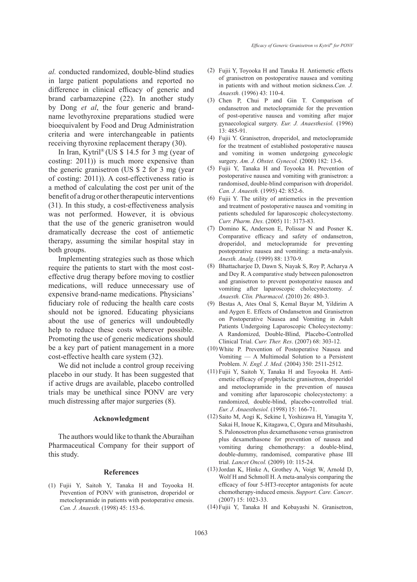*al.* conducted randomized, double-blind studies in large patient populations and reported no difference in clinical efficacy of generic and brand carbamazepine (22). In another study by Dong *et al*, the four generic and brandname levothyroxine preparations studied were bioequivalent by Food and Drug Administration criteria and were interchangeable in patients receiving thyroxine replacement therapy (30).

In Iran, Kytril® (US \$ 14.5 for 3 mg (year of costing: 2011)) is much more expensive than the generic granisetron (US \$ 2 for 3 mg (year of costing: 2011)). A cost-effectiveness ratio is a method of calculating the cost per unit of the benefit of a drug or other therapeutic interventions (31). In this study, a cost-effectiveness analysis was not performed. However, it is obvious that the use of the generic granisetron would dramatically decrease the cost of antiemetic therapy, assuming the similar hospital stay in both groups.

Implementing strategies such as those which require the patients to start with the most costeffective drug therapy before moving to costlier medications, will reduce unnecessary use of expensive brand-name medications. Physicians' fiduciary role of reducing the health care costs should not be ignored. Educating physicians about the use of generics will undoubtedly help to reduce these costs wherever possible. Promoting the use of generic medications should be a key part of patient management in a more cost-effective health care system (32).

We did not include a control group receiving placebo in our study. It has been suggested that if active drugs are available, placebo controlled trials may be unethical since PONV are very much distressing after major surgeries (8).

## **Acknowledgment**

The authors would like to thank the Aburaihan Pharmaceutical Company for their support of this study.

#### **References**

Fujii Y, Saitoh Y, Tanaka H and Toyooka H. (1) Prevention of PONV with granisetron, droperidol or metoclopramide in patients with postoperative emesis. *Can. J. Anaesth*. (1998) 45: 153-6.

- Fujii Y, Toyooka H and Tanaka H. Antiemetic effects (2) of granisetron on postoperative nausea and vomiting in patients with and without motion sickness.*Can. J. Anaesth.* (1996) 43: 110-4.
- (3) Chen P, Chui P and Gin T. Comparison of ondansetron and metoclopramide for the prevention of post-operative nausea and vomiting after major gynaecological surgery. *Eur. J. Anaesthesiol.* (1996) 13: 485-91.
- Fujii Y. Granisetron, droperidol, and metoclopramide (4) for the treatment of established postoperative nausea and vomiting in women undergoing gynecologic surgery. *Am. J. Obstet. Gynecol.* (2000) 182: 13-6.
- Fujii Y, Tanaka H and Toyooka H. Prevention of (5) postoperative nausea and vomiting with granisetron: a randomised, double-blind comparison with droperidol. *Can. J. Anaesth.* (1995) 42: 852-6.
- $(6)$  Fujii Y. The utility of antiemetics in the prevention and treatment of postoperative nausea and vomiting in patients scheduled for laparoscopic cholecystectomy. *Curr. Pharm. Des.* (2005) 11: 3173-83.
- (7) Domino K, Anderson E, Polissar N and Posner K. Comparative efficacy and safety of ondansetron, droperidol, and metoclopramide for preventing postoperative nausea and vomiting: a meta-analysis. *Anesth. Analg*. (1999) 88: 1370-9.
- (8) Bhattacharjee D, Dawn S, Nayak S, Roy P, Acharya A and Dey R. A comparative study between palonosetron and granisetron to prevent postoperative nausea and vomiting after laparoscopic cholecystectomy. *J. Anaesth. Clin. Pharmacol*. (2010) 26: 480-3.
- Bestas A, Ates Onal S, Kemal Bayar M, Yildirim A (9) and Aygen E. Effects of Ondansetron and Granisetron on Postoperative Nausea and Vomiting in Adult Patients Undergoing Laparoscopic Cholecystectomy: A Randomized, Double-Blind, Placebo-Controlled Clinical Trial. *Curr. Ther. Res*. (2007) 68: 303-12.
- White P. Prevention of Postoperative Nausea and (10) Vomiting — A Multimodal Solution to a Persistent Problem. *N. Engl. J. Med.* (2004) 350: 2511-2512.
- (11) Fujii Y, Saitoh Y, Tanaka H and Toyooka H. Antiemetic efficacy of prophylactic granisetron, droperidol and metoclopramide in the prevention of nausea and vomiting after laparoscopic cholecystectomy: a randomized, double-blind, placebo-controlled trial. *Eur. J. Anaesthesiol.* (1998) 15: 166-71.
- (12) Saito M, Aogi K, Sekine I, Yoshizawa H, Yanagita Y, Sakai H, Inoue K, Kitagawa, C, Ogura and Mitsuhashi, S. Palonosetron plus dexamethasone versus granisetron plus dexamethasone for prevention of nausea and vomiting during chemotherapy: a double-blind, double-dummy, randomised, comparative phase III trial. *Lancet Oncol.* (2009) 10: 115-24.
- (13) Jordan K, Hinke A, Grothey A, Voigt W, Arnold D, Wolf H and Schmoll H. A meta-analysis comparing the efficacy of four 5-HT3-receptor antagonists for acute chemotherapy-induced emesis. *Support. Care. Cancer*. (2007) 15: 1023-33.
- (14) Fujii Y, Tanaka H and Kobayashi N. Granisetron,